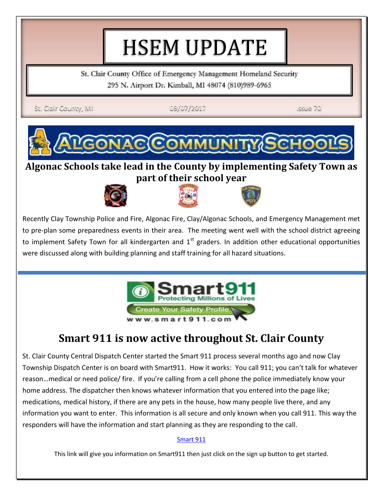# HSEM UPDATE

St. Clair County Office of Emergency Management Homeland Security 295 N. Airport Dr. Kimball, MI 48074 (810)989-6965

St. Clair County, MJ

09/07/2017

**Issue 70** 



#### **Algonac Schools take lead in the County by implementing Safety Town as part of their school year**





Recently Clay Township Police and Fire, Algonac Fire, Clay/Algonac Schools, and Emergency Management met to pre-plan some preparedness events in their area. The meeting went well with the school district agreeing to implement Safety Town for all kindergarten and  $1<sup>st</sup>$  graders. In addition other educational opportunities were discussed along with building planning and staff training for all hazard situations.



## **Smart 911 is now active throughout St. Clair County**

St. Clair County Central Dispatch Center started the Smart 911 process several months ago and now Clay Township Dispatch Center is on board with Smart911. How it works: You call 911; you can't talk for whatever reason…medical or need police/ fire. If you're calling from a cell phone the police immediately know your home address. The dispatcher then knows whatever information that you entered into the page like; medications, medical history, if there are any pets in the house, how many people live there, and any information you want to enter. This information is all secure and only known when you call 911. This way the responders will have the information and start planning as they are responding to the call.

#### [Smart 911](https://safety.smart911.com/how-it-works/security-and-trust/)

This link will give you information on Smart911 then just click on the sign up button to get started.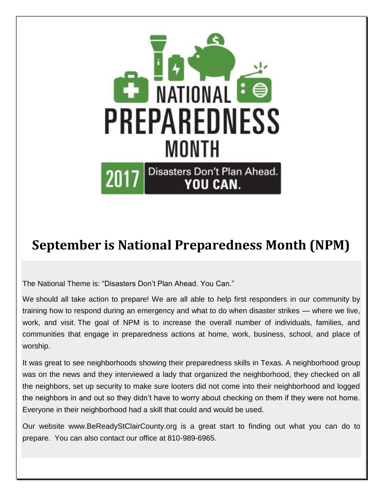

# **September is National Preparedness Month (NPM)**

The National Theme is: "Disasters Don't Plan Ahead. You Can."

We should all take action to prepare! We are all able to help first responders in our community by training how to respond during an emergency and what to do when disaster strikes — where we live, work, and visit. The goal of NPM is to increase the overall number of individuals, families, and communities that engage in preparedness actions at home, work, business, school, and place of worship.

It was great to see neighborhoods showing their preparedness skills in Texas. A neighborhood group was on the news and they interviewed a lady that organized the neighborhood, they checked on all the neighbors, set up security to make sure looters did not come into their neighborhood and logged the neighbors in and out so they didn't have to worry about checking on them if they were not home. Everyone in their neighborhood had a skill that could and would be used.

Our website www.BeReadyStClairCounty.org is a great start to finding out what you can do to prepare. You can also contact our office at 810-989-6965.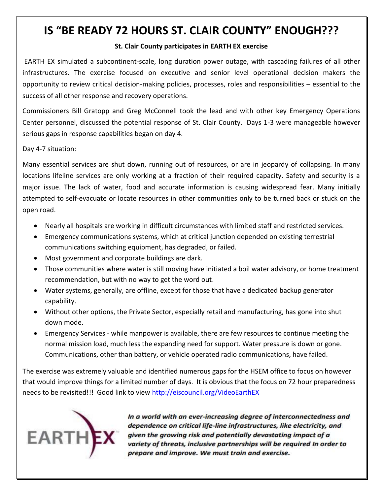## **IS "BE READY 72 HOURS ST. CLAIR COUNTY" ENOUGH???**

#### **St. Clair County participates in EARTH EX exercise**

EARTH EX simulated a subcontinent-scale, long duration power outage, with cascading failures of all other infrastructures. The exercise focused on executive and senior level operational decision makers the opportunity to review critical decision-making policies, processes, roles and responsibilities – essential to the success of all other response and recovery operations.

Commissioners Bill Gratopp and Greg McConnell took the lead and with other key Emergency Operations Center personnel, discussed the potential response of St. Clair County. Days 1-3 were manageable however serious gaps in response capabilities began on day 4.

Day 4-7 situation:

Many essential services are shut down, running out of resources, or are in jeopardy of collapsing. In many locations lifeline services are only working at a fraction of their required capacity. Safety and security is a major issue. The lack of water, food and accurate information is causing widespread fear. Many initially attempted to self-evacuate or locate resources in other communities only to be turned back or stuck on the open road.

- Nearly all hospitals are working in difficult circumstances with limited staff and restricted services.
- Emergency communications systems, which at critical junction depended on existing terrestrial communications switching equipment, has degraded, or failed.
- Most government and corporate buildings are dark.
- Those communities where water is still moving have initiated a boil water advisory, or home treatment recommendation, but with no way to get the word out.
- Water systems, generally, are offline, except for those that have a dedicated backup generator capability.
- Without other options, the Private Sector, especially retail and manufacturing, has gone into shut down mode.
- Emergency Services while manpower is available, there are few resources to continue meeting the normal mission load, much less the expanding need for support. Water pressure is down or gone. Communications, other than battery, or vehicle operated radio communications, have failed.

The exercise was extremely valuable and identified numerous gaps for the HSEM office to focus on however that would improve things for a limited number of days. It is obvious that the focus on 72 hour preparedness needs to be revisited!!! Good link to view<http://eiscouncil.org/VideoEarthEX>



In a world with an ever-increasing degree of interconnectedness and dependence on critical life-line infrastructures, like electricity, and given the growing risk and potentially devastating impact of a variety of threats, inclusive partnerships will be required In order to prepare and improve. We must train and exercise.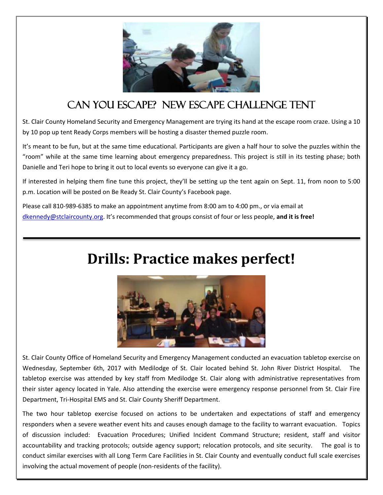

## Can you Escape? New Escape Challenge Tent

St. Clair County Homeland Security and Emergency Management are trying its hand at the escape room craze. Using a 10 by 10 pop up tent Ready Corps members will be hosting a disaster themed puzzle room.

It's meant to be fun, but at the same time educational. Participants are given a half hour to solve the puzzles within the "room" while at the same time learning about emergency preparedness. This project is still in its testing phase; both Danielle and Teri hope to bring it out to local events so everyone can give it a go.

If interested in helping them fine tune this project, they'll be setting up the tent again on Sept. 11, from noon to 5:00 p.m. Location will be posted on Be Ready St. Clair County's Facebook page.

Please call 810-989-6385 to make an appointment anytime from 8:00 am to 4:00 pm., or via email at [dkennedy@stclaircounty.org](mailto:dkennedy@stclaircounty.org). It's recommended that groups consist of four or less people, **and it is free!**

# **Drills: Practice makes perfect!**



St. Clair County Office of Homeland Security and Emergency Management conducted an evacuation tabletop exercise on Wednesday, September 6th, 2017 with Medilodge of St. Clair located behind St. John River District Hospital. The tabletop exercise was attended by key staff from Medilodge St. Clair along with administrative representatives from their sister agency located in Yale. Also attending the exercise were emergency response personnel from St. Clair Fire Department, Tri-Hospital EMS and St. Clair County Sheriff Department.

The two hour tabletop exercise focused on actions to be undertaken and expectations of staff and emergency responders when a severe weather event hits and causes enough damage to the facility to warrant evacuation. Topics of discussion included: Evacuation Procedures; Unified Incident Command Structure; resident, staff and visitor accountability and tracking protocols; outside agency support; relocation protocols, and site security. The goal is to conduct similar exercises with all Long Term Care Facilities in St. Clair County and eventually conduct full scale exercises involving the actual movement of people (non-residents of the facility).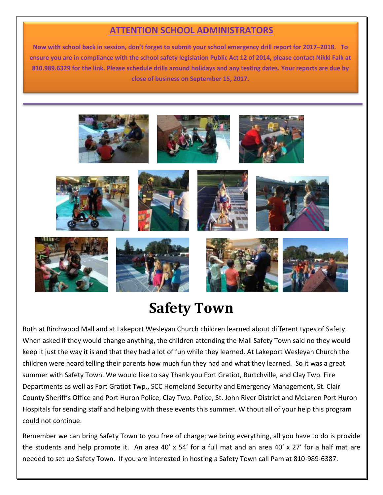#### **ATTENTION SCHOOL ADMINISTRATORS**

**Now with school back in session, don't forget to submit your school emergency drill report for 2017–2018. To ensure you are in compliance with the school safety legislation Public Act 12 of 2014, please contact Nikki Falk at 810.989.6329 for the link. Please schedule drills around holidays and any testing dates. Your reports are due by close of business on September 15, 2017.**



## **Safety Town**

Both at Birchwood Mall and at Lakeport Wesleyan Church children learned about different types of Safety. When asked if they would change anything, the children attending the Mall Safety Town said no they would keep it just the way it is and that they had a lot of fun while they learned. At Lakeport Wesleyan Church the children were heard telling their parents how much fun they had and what they learned. So it was a great summer with Safety Town. We would like to say Thank you Fort Gratiot, Burtchville, and Clay Twp. Fire Departments as well as Fort Gratiot Twp., SCC Homeland Security and Emergency Management, St. Clair County Sheriff's Office and Port Huron Police, Clay Twp. Police, St. John River District and McLaren Port Huron Hospitals for sending staff and helping with these events this summer. Without all of your help this program could not continue.

Remember we can bring Safety Town to you free of charge; we bring everything, all you have to do is provide the students and help promote it. An area 40' x 54' for a full mat and an area 40' x 27' for a half mat are needed to set up Safety Town. If you are interested in hosting a Safety Town call Pam at 810-989-6387.